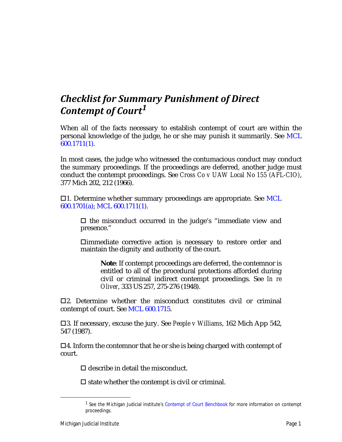## *Checklist for Summary Punishment of Direct Contempt of Court1*

When all of the facts necessary to establish contempt of court are within the personal knowledge of the judge, he or she may punish it summarily. See MCL 600.1711(1).

In most cases, the judge who witnessed the contumacious conduct may conduct the summary proceedings. If the proceedings are deferred, another judge must conduct the contempt proceedings. See *Cross Co v UAW Local No 155 (AFL-CIO)*, 377 Mich 202, 212 (1966).

 $\Box$ 1. Determine whether summary proceedings are appropriate. See MCL 600.1701(a); MCL 600.1711(1).

 $\Box$  the misconduct occurred in the judge's "immediate view and presence."

immediate corrective action is necessary to restore order and maintain the dignity and authority of the court.

**Note**: If contempt proceedings are deferred, the contemnor is entitled to all of the procedural protections afforded during civil or criminal indirect contempt proceedings. See *In re Oliver*, 333 US 257, 275-276 (1948).

 $\Box$ 2. Determine whether the misconduct constitutes civil or criminal contempt of court. See MCL 600.1715.

3. If necessary, excuse the jury. See *People v Williams*, 162 Mich App 542, 547 (1987).

 $\Box$ 4. Inform the contemnor that he or she is being charged with contempt of court.

 $\square$  describe in detail the misconduct.

 $\square$  state whether the contempt is civil or criminal.

<sup>1</sup> See the Michigan Judicial Institute's *Contempt of Court Benchbook* for more information on contempt proceedings.